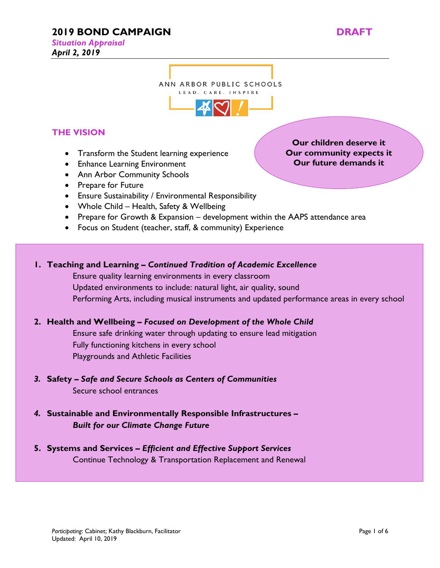# **2019 BOND CAMPAIGN DRAFT**

*Situation Appraisal* 

*April 2, 2019* 

**Our children deserve it Our community expects it Our future demands it**

# ANN ARBOR PUBLIC SCHOOLS LEAD. CARE. INSPIRE



# **THE VISION**

- Transform the Student learning experience
- Enhance Learning Environment
- Ann Arbor Community Schools
- Prepare for Future
- Ensure Sustainability / Environmental Responsibility
- Whole Child Health, Safety & Wellbeing
- Prepare for Growth & Expansion development within the AAPS attendance area
- Focus on Student (teacher, staff, & community) Experience

# **1. Teaching and Learning –** *Continued Tradition of Academic Excellence*

Ensure quality learning environments in every classroom Updated environments to include: natural light, air quality, sound Performing Arts, including musical instruments and updated performance areas in every school

# **2. Health and Wellbeing –** *Focused on Development of the Whole Child*

Ensure safe drinking water through updating to ensure lead mitigation Fully functioning kitchens in every school Playgrounds and Athletic Facilities

- *3.* **Safety** *Safe and Secure Schools as Centers of Communities* Secure school entrances
- *4.* **Sustainable and Environmentally Responsible Infrastructures**  *Built for our Climate Change Future*
- **5. Systems and Services** *Efficient and Effective Support Services* Continue Technology & Transportation Replacement and Renewal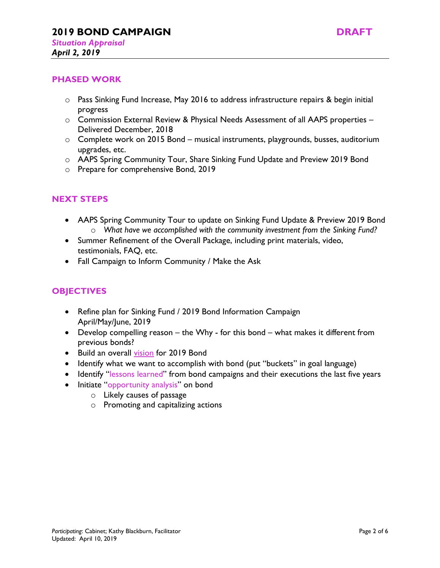

#### **PHASED WORK**

- o Pass Sinking Fund Increase, May 2016 to address infrastructure repairs & begin initial progress
- $\circ$  Commission External Review & Physical Needs Assessment of all AAPS properties Delivered December, 2018
- o Complete work on 2015 Bond musical instruments, playgrounds, busses, auditorium upgrades, etc.
- o AAPS Spring Community Tour, Share Sinking Fund Update and Preview 2019 Bond
- o Prepare for comprehensive Bond, 2019

## **NEXT STEPS**

- AAPS Spring Community Tour to update on Sinking Fund Update & Preview 2019 Bond o *What have we accomplished with the community investment from the Sinking Fund?*
- Summer Refinement of the Overall Package, including print materials, video, testimonials, FAQ, etc.
- Fall Campaign to Inform Community / Make the Ask

## **OBJECTIVES**

- Refine plan for Sinking Fund / 2019 Bond Information Campaign April/May/June, 2019
- Develop compelling reason the Why for this bond what makes it different from previous bonds?
- Build an overall vision for 2019 Bond
- Identify what we want to accomplish with bond (put "buckets" in goal language)
- Identify "lessons learned" from bond campaigns and their executions the last five years
- Initiate "opportunity analysis" on bond
	- o Likely causes of passage
	- o Promoting and capitalizing actions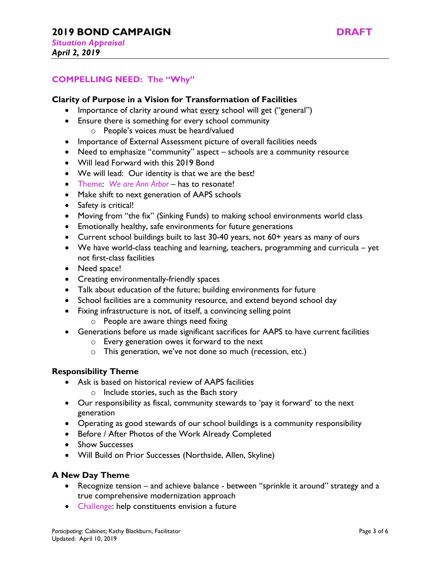## **COMPELLING NEED: The "Why"**

#### **Clarity of Purpose in a Vision for Transformation of Facilities**

- Importance of clarity around what every school will get ("general")
- Ensure there is something for every school community
	- o People's voices must be heard/valued
- Importance of External Assessment picture of overall facilities needs
- Need to emphasize "community" aspect schools are a community resource
- Will lead Forward with this 2019 Bond
- We will lead: Our identity is that we are the best!
- Theme: *We are Ann Arbor* has to resonate!
- Make shift to next generation of AAPS schools
- Safety is critical!
- Moving from "the fix" (Sinking Funds) to making school environments world class
- Emotionally healthy, safe environments for future generations
- Current school buildings built to last 30-40 years, not 60+ years as many of ours
- We have world-class teaching and learning, teachers, programming and curricula yet not first-class facilities
- Need space!
- Creating environmentally-friendly spaces
- Talk about education of the future; building environments for future
- School facilities are a community resource, and extend beyond school day
- Fixing infrastructure is not, of itself, a convincing selling point
	- o People are aware things need fixing
- Generations before us made significant sacrifices for AAPS to have current facilities
	- o Every generation owes it forward to the next
	- o This generation, we've not done so much (recession, etc.)

#### **Responsibility Theme**

- Ask is based on historical review of AAPS facilities
	- o Include stories, such as the Bach story
- Our responsibility as fiscal, community stewards to 'pay it forward' to the next generation
- Operating as good stewards of our school buildings is a community responsibility
- Before / After Photos of the Work Already Completed
- Show Successes
- Will Build on Prior Successes (Northside, Allen, Skyline)

## **A New Day Theme**

- Recognize tension and achieve balance between "sprinkle it around" strategy and a true comprehensive modernization approach
- Challenge: help constituents envision a future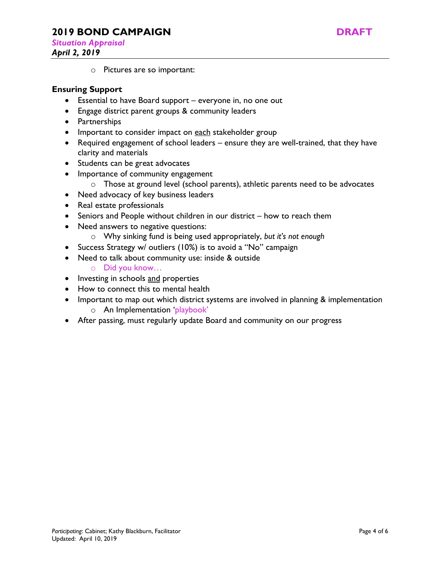# **2019 BOND CAMPAIGN DRAFT**

*Situation Appraisal* 



o Pictures are so important:

## **Ensuring Support**

- Essential to have Board support everyone in, no one out
- Engage district parent groups & community leaders
- Partnerships
- Important to consider impact on each stakeholder group
- Required engagement of school leaders ensure they are well-trained, that they have clarity and materials
- Students can be great advocates
- Importance of community engagement
	- o Those at ground level (school parents), athletic parents need to be advocates
- Need advocacy of key business leaders
- Real estate professionals
- Seniors and People without children in our district how to reach them
- Need answers to negative questions:
	- o Why sinking fund is being used appropriately, *but it's not enough*
- Success Strategy w/ outliers (10%) is to avoid a "No" campaign
- Need to talk about community use: inside & outside
	- o Did you know…
- Investing in schools and properties
- How to connect this to mental health
- Important to map out which district systems are involved in planning & implementation
	- o An Implementation 'playbook'
- After passing, must regularly update Board and community on our progress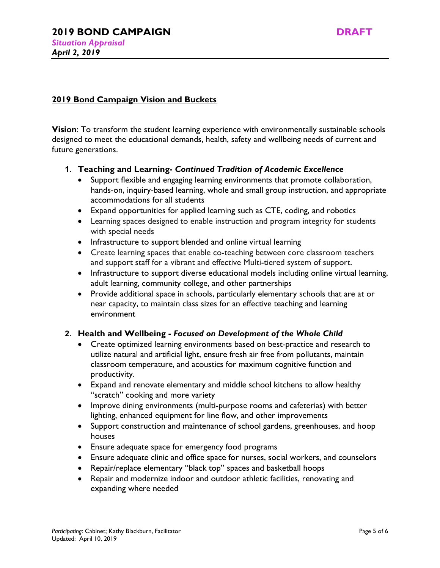*April 2, 2019* 

# **2019 Bond Campaign Vision and Buckets**

**<u>Vision</u>**: To transform the student learning experience with environmentally sustainable schools designed to meet the educational demands, health, safety and wellbeing needs of current and future generations.

## **1. Teaching and Learning-** *Continued Tradition of Academic Excellence*

- Support flexible and engaging learning environments that promote collaboration, hands-on, inquiry-based learning, whole and small group instruction, and appropriate accommodations for all students
- Expand opportunities for applied learning such as CTE, coding, and robotics
- Learning spaces designed to enable instruction and program integrity for students with special needs
- Infrastructure to support blended and online virtual learning
- Create learning spaces that enable co-teaching between core classroom teachers and support staff for a vibrant and effective Multi-tiered system of support.
- Infrastructure to support diverse educational models including online virtual learning, adult learning, community college, and other partnerships
- Provide additional space in schools, particularly elementary schools that are at or near capacity, to maintain class sizes for an effective teaching and learning environment

## **2. Health and Wellbeing -** *Focused on Development of the Whole Child*

- Create optimized learning environments based on best-practice and research to utilize natural and artificial light, ensure fresh air free from pollutants, maintain classroom temperature, and acoustics for maximum cognitive function and productivity.
- Expand and renovate elementary and middle school kitchens to allow healthy "scratch" cooking and more variety
- Improve dining environments (multi-purpose rooms and cafeterias) with better lighting, enhanced equipment for line flow, and other improvements
- Support construction and maintenance of school gardens, greenhouses, and hoop houses
- Ensure adequate space for emergency food programs
- Ensure adequate clinic and office space for nurses, social workers, and counselors
- Repair/replace elementary "black top" spaces and basketball hoops
- Repair and modernize indoor and outdoor athletic facilities, renovating and expanding where needed